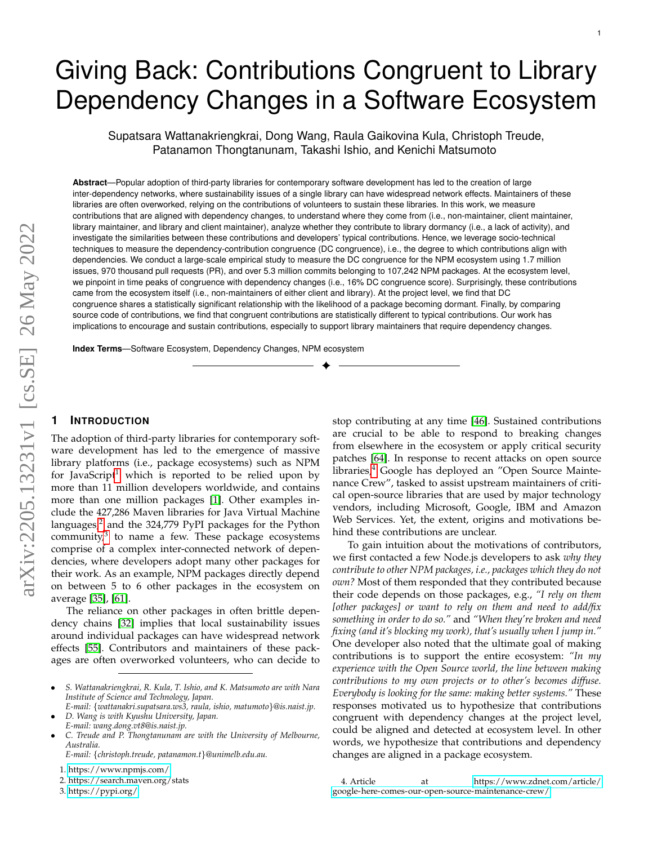# Giving Back: Contributions Congruent to Library Dependency Changes in a Software Ecosystem

Supatsara Wattanakriengkrai, Dong Wang, Raula Gaikovina Kula, Christoph Treude, Patanamon Thongtanunam, Takashi Ishio, and Kenichi Matsumoto

**Abstract**—Popular adoption of third-party libraries for contemporary software development has led to the creation of large inter-dependency networks, where sustainability issues of a single library can have widespread network effects. Maintainers of these libraries are often overworked, relying on the contributions of volunteers to sustain these libraries. In this work, we measure contributions that are aligned with dependency changes, to understand where they come from (i.e., non-maintainer, client maintainer, library maintainer, and library and client maintainer), analyze whether they contribute to library dormancy (i.e., a lack of activity), and investigate the similarities between these contributions and developers' typical contributions. Hence, we leverage socio-technical techniques to measure the dependency-contribution congruence (DC congruence), i.e., the degree to which contributions align with dependencies. We conduct a large-scale empirical study to measure the DC congruence for the NPM ecosystem using 1.7 million issues, 970 thousand pull requests (PR), and over 5.3 million commits belonging to 107,242 NPM packages. At the ecosystem level, we pinpoint in time peaks of congruence with dependency changes (i.e., 16% DC congruence score). Surprisingly, these contributions came from the ecosystem itself (i.e., non-maintainers of either client and library). At the project level, we find that DC congruence shares a statistically significant relationship with the likelihood of a package becoming dormant. Finally, by comparing source code of contributions, we find that congruent contributions are statistically different to typical contributions. Our work has implications to encourage and sustain contributions, especially to support library maintainers that require dependency changes.

✦

**Index Terms**—Software Ecosystem, Dependency Changes, NPM ecosystem

# **1 INTRODUCTION**

The adoption of third-party libraries for contemporary software development has led to the emergence of massive library platforms (i.e., package ecosystems) such as NPM for JavaScript<sup>[1](#page-0-0)</sup> which is reported to be relied upon by more than 11 million developers worldwide, and contains more than one million packages [\[1\]](#page-11-0). Other examples include the 427,286 Maven libraries for Java Virtual Machine languages,<sup>[2](#page-0-1)</sup> and the 324,779 PyPI packages for the Python community,<sup>[3](#page-0-2)</sup> to name a few. These package ecosystems comprise of a complex inter-connected network of dependencies, where developers adopt many other packages for their work. As an example, NPM packages directly depend on between 5 to 6 other packages in the ecosystem on average [\[35\]](#page-11-1), [\[61\]](#page-12-0).

The reliance on other packages in often brittle dependency chains [\[32\]](#page-11-2) implies that local sustainability issues around individual packages can have widespread network effects [\[55\]](#page-12-1). Contributors and maintainers of these packages are often overworked volunteers, who can decide to stop contributing at any time [\[46\]](#page-12-2). Sustained contributions are crucial to be able to respond to breaking changes from elsewhere in the ecosystem or apply critical security patches [\[64\]](#page-12-3). In response to recent attacks on open source libraries,<sup>[4](#page-0-3)</sup> Google has deployed an "Open Source Maintenance Crew", tasked to assist upstream maintainers of critical open-source libraries that are used by major technology vendors, including Microsoft, Google, IBM and Amazon Web Services. Yet, the extent, origins and motivations behind these contributions are unclear.

To gain intuition about the motivations of contributors, we first contacted a few Node.js developers to ask *why they contribute to other NPM packages, i.e., packages which they do not own?* Most of them responded that they contributed because their code depends on those packages, e.g., *"I rely on them [other packages] or want to rely on them and need to add/fix something in order to do so."* and *"When they're broken and need fixing (and it's blocking my work), that's usually when I jump in."* One developer also noted that the ultimate goal of making contributions is to support the entire ecosystem: *"In my experience with the Open Source world, the line between making contributions to my own projects or to other's becomes diffuse. Everybody is looking for the same: making better systems."* These responses motivated us to hypothesize that contributions congruent with dependency changes at the project level, could be aligned and detected at ecosystem level. In other words, we hypothesize that contributions and dependency changes are aligned in a package ecosystem.

<sup>•</sup> *S. Wattanakriengkrai, R. Kula, T. Ishio, and K. Matsumoto are with Nara Institute of Science and Technology, Japan.*

*E-mail:* {*wattanakri.supatsara.ws3, raula, ishio, matumoto*}*@is.naist.jp.* • *D. Wang is with Kyushu University, Japan.*

*E-mail: wang.dong.vt8@is.naist.jp.*

<sup>•</sup> *C. Treude and P. Thongtanunam are with the University of Melbourne, Australia.*

*E-mail:* {*christoph.treude, patanamon.t*}*@unimelb.edu.au.*

<span id="page-0-0"></span><sup>1.</sup><https://www.npmjs.com/>

<span id="page-0-1"></span><sup>2.</sup> https://search.maven.org/stats

<span id="page-0-2"></span><sup>3.</sup><https://pypi.org/>

<span id="page-0-3"></span><sup>4.</sup> Article at [https://www.zdnet.com/article/](https://www.zdnet.com/article/google-here-comes-our-open-source-maintenance-crew/) [google-here-comes-our-open-source-maintenance-crew/](https://www.zdnet.com/article/google-here-comes-our-open-source-maintenance-crew/)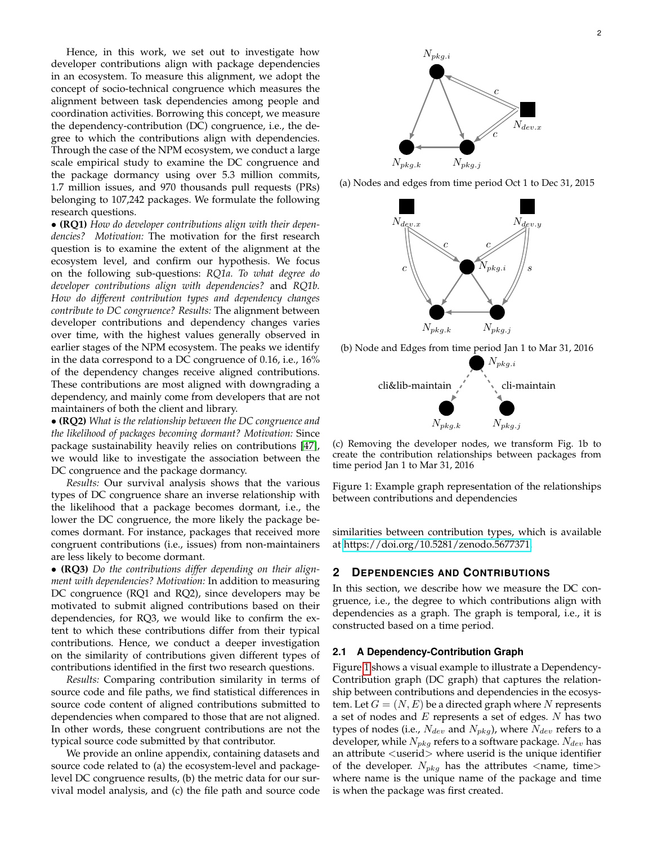Hence, in this work, we set out to investigate how developer contributions align with package dependencies in an ecosystem. To measure this alignment, we adopt the concept of socio-technical congruence which measures the alignment between task dependencies among people and coordination activities. Borrowing this concept, we measure the dependency-contribution (DC) congruence, i.e., the degree to which the contributions align with dependencies. Through the case of the NPM ecosystem, we conduct a large scale empirical study to examine the DC congruence and the package dormancy using over 5.3 million commits, 1.7 million issues, and 970 thousands pull requests (PRs) belonging to 107,242 packages. We formulate the following research questions.

• **(RQ1)** *How do developer contributions align with their dependencies? Motivation:* The motivation for the first research question is to examine the extent of the alignment at the ecosystem level, and confirm our hypothesis. We focus on the following sub-questions: *RQ1a. To what degree do developer contributions align with dependencies?* and *RQ1b. How do different contribution types and dependency changes contribute to DC congruence? Results:* The alignment between developer contributions and dependency changes varies over time, with the highest values generally observed in earlier stages of the NPM ecosystem. The peaks we identify in the data correspond to a DC congruence of 0.16, i.e., 16% of the dependency changes receive aligned contributions. These contributions are most aligned with downgrading a dependency, and mainly come from developers that are not maintainers of both the client and library.

• **(RQ2)** *What is the relationship between the DC congruence and the likelihood of packages becoming dormant? Motivation:* Since package sustainability heavily relies on contributions [\[47\]](#page-12-4), we would like to investigate the association between the DC congruence and the package dormancy.

*Results:* Our survival analysis shows that the various types of DC congruence share an inverse relationship with the likelihood that a package becomes dormant, i.e., the lower the DC congruence, the more likely the package becomes dormant. For instance, packages that received more congruent contributions (i.e., issues) from non-maintainers are less likely to become dormant.

• **(RQ3)** *Do the contributions differ depending on their alignment with dependencies? Motivation:* In addition to measuring DC congruence (RQ1 and RQ2), since developers may be motivated to submit aligned contributions based on their dependencies, for RQ3, we would like to confirm the extent to which these contributions differ from their typical contributions. Hence, we conduct a deeper investigation on the similarity of contributions given different types of contributions identified in the first two research questions.

*Results:* Comparing contribution similarity in terms of source code and file paths, we find statistical differences in source code content of aligned contributions submitted to dependencies when compared to those that are not aligned. In other words, these congruent contributions are not the typical source code submitted by that contributor.

We provide an online appendix, containing datasets and source code related to (a) the ecosystem-level and packagelevel DC congruence results, (b) the metric data for our survival model analysis, and (c) the file path and source code

<span id="page-1-0"></span>

(a) Nodes and edges from time period Oct 1 to Dec 31, 2015



(b) Node and Edges from time period Jan 1 to Mar 31, 2016



(c) Removing the developer nodes, we transform Fig. 1b to create the contribution relationships between packages from time period Jan 1 to Mar 31, 2016

Figure 1: Example graph representation of the relationships between contributions and dependencies

similarities between contribution types, which is available at [https://doi.org/10.5281/zenodo.5677371.](https://doi.org/10.5281/zenodo.5677371)

## **2 DEPENDENCIES AND CONTRIBUTIONS**

In this section, we describe how we measure the DC congruence, i.e., the degree to which contributions align with dependencies as a graph. The graph is temporal, i.e., it is constructed based on a time period.

# **2.1 A Dependency-Contribution Graph**

Figure [1](#page-1-0) shows a visual example to illustrate a Dependency-Contribution graph (DC graph) that captures the relationship between contributions and dependencies in the ecosystem. Let  $G = (N, E)$  be a directed graph where N represents a set of nodes and  $E$  represents a set of edges.  $N$  has two types of nodes (i.e.,  $N_{dev}$  and  $N_{pkg}$ ), where  $N_{dev}$  refers to a developer, while  $N_{pkg}$  refers to a software package.  $N_{dev}$  has an attribute <userid> where userid is the unique identifier of the developer.  $N_{pkg}$  has the attributes  $\langle$ name, time $\rangle$ where name is the unique name of the package and time is when the package was first created.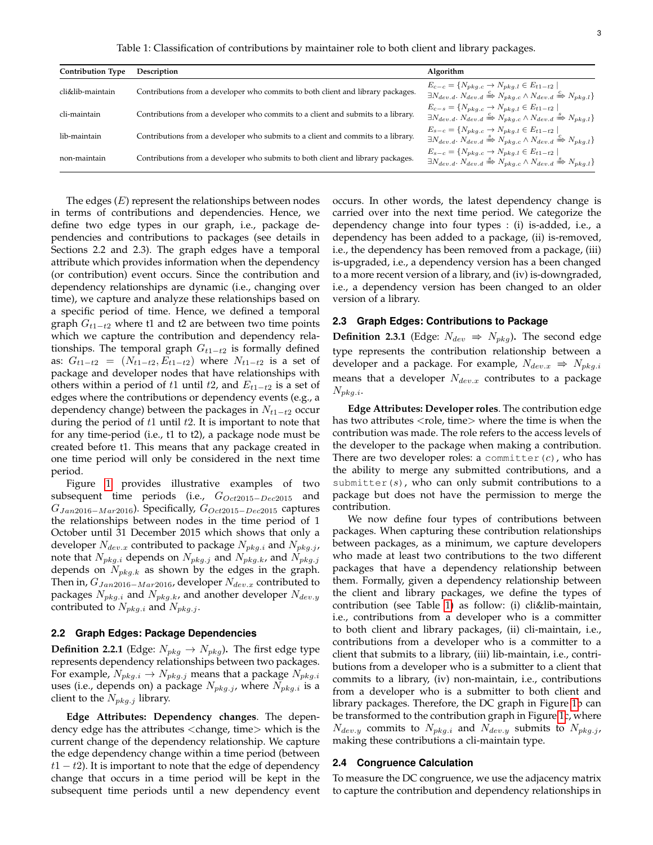Table 1: Classification of contributions by maintainer role to both client and library packages.

<span id="page-2-0"></span>

| <b>Contribution Type</b> | Description                                                                      | Algorithm                                                                                                                                                                                   |
|--------------------------|----------------------------------------------------------------------------------|---------------------------------------------------------------------------------------------------------------------------------------------------------------------------------------------|
| cli&lib-maintain         | Contributions from a developer who commits to both client and library packages.  | $E_{c-c} = \{N_{pkq,c} \to N_{pkq,l} \in E_{t1-t2}$<br>$\exists N_{dev,d}$ . $N_{dev,d} \stackrel{c}{\Rightarrow} N_{pka,c} \land N_{dev,d} \stackrel{c}{\Rightarrow} N_{pka,l}$            |
| cli-maintain             | Contributions from a developer who commits to a client and submits to a library. | $E_{c-s} = \{N_{pka,c} \to N_{pka,l} \in E_{t1-t2} \mid$<br>$\exists N_{dev.d.} N_{dev.d} \xrightarrow{c} N_{pkg.c} \wedge N_{dev.d} \xrightarrow{s} N_{pkg.l}$                             |
| lib-maintain             | Contributions from a developer who submits to a client and commits to a library. | $E_{s-c} = \{N_{p k q,c} \to N_{p k q,l} \in E_{t 1-t 2}$<br>$\exists N_{dev.d.} N_{dev.d} \stackrel{s}{\Rightarrow} N_{pka.c} \wedge N_{dev.d} \stackrel{c}{\Rightarrow} N_{pka.l}$        |
| non-maintain             | Contributions from a developer who submits to both client and library packages.  | $E_{s-c} = \{N_{pka,c} \rightarrow N_{pka,l} \in E_{t1-t2} \mid$<br>$\exists N_{dev.d.} N_{dev.d} \stackrel{s}{\Rightarrow} N_{bka.c} \wedge N_{dev.d} \stackrel{s}{\Rightarrow} N_{bka.l}$ |

The edges  $(E)$  represent the relationships between nodes in terms of contributions and dependencies. Hence, we define two edge types in our graph, i.e., package dependencies and contributions to packages (see details in Sections 2.2 and 2.3). The graph edges have a temporal attribute which provides information when the dependency (or contribution) event occurs. Since the contribution and dependency relationships are dynamic (i.e., changing over time), we capture and analyze these relationships based on a specific period of time. Hence, we defined a temporal graph  $G_{t1-t2}$  where t1 and t2 are between two time points which we capture the contribution and dependency relationships. The temporal graph  $G_{t1-t2}$  is formally defined as:  $G_{t1-t2} = (N_{t1-t2}, E_{t1-t2})$  where  $N_{t1-t2}$  is a set of package and developer nodes that have relationships with others within a period of t1 until t2, and  $E_{t1-t2}$  is a set of edges where the contributions or dependency events (e.g., a dependency change) between the packages in  $N_{t1-t2}$  occur during the period of  $t1$  until  $t2$ . It is important to note that for any time-period (i.e., t1 to t2), a package node must be created before t1. This means that any package created in one time period will only be considered in the next time period.

Figure [1](#page-1-0) provides illustrative examples of two subsequent time periods (i.e.,  $G_{Oct2015-Dec2015}$  and  $G_{Jan2016-Mar2016}$ ). Specifically,  $G_{Oct2015-Dec2015}$  captures the relationships between nodes in the time period of 1 October until 31 December 2015 which shows that only a developer  $N_{dev.x}$  contributed to package  $N_{pkg.i}$  and  $N_{pkg.j}$ , note that  $N_{pkg.i}$  depends on  $N_{pkg.j}$  and  $N_{pkg.j}$ , and  $N_{pkg.j}$ depends on  $N_{pkq,k}$  as shown by the edges in the graph. Then in,  $G_{Jan2016-Mar2016}$ , developer  $N_{dev.x}$  contributed to packages  $N_{pkg.i}$  and  $N_{pkg.k}$ , and another developer  $N_{dev.y}$ contributed to  $N_{pkg,i}$  and  $N_{pkg,j}$ .

## **2.2 Graph Edges: Package Dependencies**

**Definition 2.2.1** (Edge:  $N_{p k q} \rightarrow N_{p k q}$ ). The first edge type represents dependency relationships between two packages. For example,  $N_{pkg,i} \rightarrow N_{pkg,j}$  means that a package  $N_{pkg,i}$ uses (i.e., depends on) a package  $N_{pkg.j}$ , where  $N_{pkg.i}$  is a client to the  $N_{pkq,j}$  library.

**Edge Attributes: Dependency changes**. The dependency edge has the attributes <change, time> which is the current change of the dependency relationship. We capture the edge dependency change within a time period (between  $t1 - t2$ ). It is important to note that the edge of dependency change that occurs in a time period will be kept in the subsequent time periods until a new dependency event occurs. In other words, the latest dependency change is carried over into the next time period. We categorize the dependency change into four types : (i) is-added, i.e., a dependency has been added to a package, (ii) is-removed, i.e., the dependency has been removed from a package, (iii) is-upgraded, i.e., a dependency version has a been changed to a more recent version of a library, and (iv) is-downgraded, i.e., a dependency version has been changed to an older version of a library.

## **2.3 Graph Edges: Contributions to Package**

**Definition 2.3.1** (Edge:  $N_{dev} \Rightarrow N_{pkg}$ ). The second edge type represents the contribution relationship between a developer and a package. For example,  $N_{dev.x} \Rightarrow N_{pkg.i}$ means that a developer  $N_{dev.x}$  contributes to a package  $N_{pkg.i}$ .

**Edge Attributes: Developer roles**. The contribution edge has two attributes <role, time> where the time is when the contribution was made. The role refers to the access levels of the developer to the package when making a contribution. There are two developer roles: a committer( $c$ ), who has the ability to merge any submitted contributions, and a submitter( $s$ ), who can only submit contributions to a package but does not have the permission to merge the contribution.

We now define four types of contributions between packages. When capturing these contribution relationships between packages, as a minimum, we capture developers who made at least two contributions to the two different packages that have a dependency relationship between them. Formally, given a dependency relationship between the client and library packages, we define the types of contribution (see Table [1\)](#page-2-0) as follow: (i) cli&lib-maintain, i.e., contributions from a developer who is a committer to both client and library packages, (ii) cli-maintain, i.e., contributions from a developer who is a committer to a client that submits to a library, (iii) lib-maintain, i.e., contributions from a developer who is a submitter to a client that commits to a library, (iv) non-maintain, i.e., contributions from a developer who is a submitter to both client and library packages. Therefore, the DC graph in Figure [1b](#page-1-0) can be transformed to the contribution graph in Figure [1c](#page-1-0), where  $N_{dev,y}$  commits to  $N_{pkg,i}$  and  $N_{dev,y}$  submits to  $N_{pkg,j}$ , making these contributions a cli-maintain type.

## **2.4 Congruence Calculation**

To measure the DC congruence, we use the adjacency matrix to capture the contribution and dependency relationships in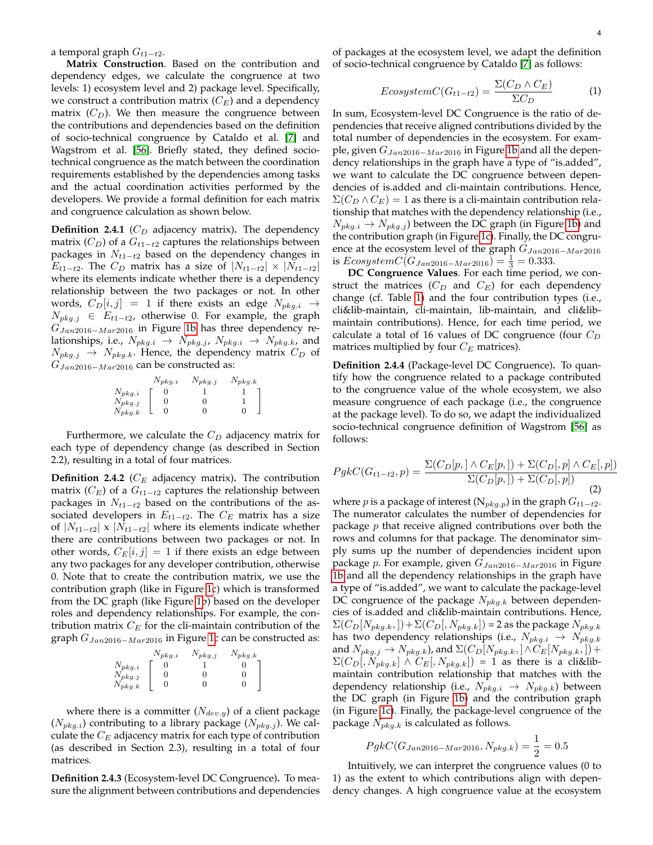a temporal graph  $G_{t1-t2}$ .

**Matrix Construction**. Based on the contribution and dependency edges, we calculate the congruence at two levels: 1) ecosystem level and 2) package level. Specifically, we construct a contribution matrix  $(C_E)$  and a dependency matrix  $(C_D)$ . We then measure the congruence between the contributions and dependencies based on the definition of socio-technical congruence by Cataldo et al. [\[7\]](#page-11-3) and Wagstrom et al. [\[56\]](#page-12-5). Briefly stated, they defined sociotechnical congruence as the match between the coordination requirements established by the dependencies among tasks and the actual coordination activities performed by the developers. We provide a formal definition for each matrix and congruence calculation as shown below.

**Definition 2.4.1** ( $C_D$  adjacency matrix). The dependency matrix  $(C_D)$  of a  $G_{t1-t2}$  captures the relationships between packages in  $N_{t1-t2}$  based on the dependency changes in  $E_{t1-t2}$ . The  $C_D$  matrix has a size of  $|N_{t1-t2}| \times |N_{t1-t2}|$ where its elements indicate whether there is a dependency relationship between the two packages or not. In other words,  $C_D[i, j] = 1$  if there exists an edge  $N_{pkg,i} \rightarrow$  $N_{pkg,j}$  ∈  $E_{t1-t2}$ , otherwise 0. For example, the graph  $G_{Jan2016-Mar2016}$  in Figure [1b](#page-1-0) has three dependency relationships, i.e.,  $N_{pkg,i} \rightarrow N_{pkg,j}$ ,  $N_{pkg,i} \rightarrow N_{pkg,k}$ , and  $N_{pkg,j} \rightarrow N_{pkg,k}$ . Hence, the dependency matrix  $C_D$  of  $G_{Jan2016-Mar2016}$  can be constructed as:

|             | $N_{pkq,i}$ | $N_{pkg,j}$ | $N_{pkg.k}$ |
|-------------|-------------|-------------|-------------|
| $N_{pkg.i}$ |             |             |             |
| $N_{pkg.j}$ |             |             |             |
| $N_{pkg.k}$ |             |             |             |

Furthermore, we calculate the  $C_D$  adjacency matrix for each type of dependency change (as described in Section 2.2), resulting in a total of four matrices.

**Definition 2.4.2** ( $C_E$  adjacency matrix). The contribution matrix ( $C_E$ ) of a  $G_{t1-t2}$  captures the relationship between packages in  $N_{t1-t2}$  based on the contributions of the associated developers in  $E_{t1-t2}$ . The  $C_E$  matrix has a size of  $|N_{t1-t2}| \times |N_{t1-t2}|$  where its elements indicate whether there are contributions between two packages or not. In other words,  $C_E[i, j] = 1$  if there exists an edge between any two packages for any developer contribution, otherwise 0. Note that to create the contribution matrix, we use the contribution graph (like in Figure [1c](#page-1-0)) which is transformed from the DC graph (like Figure [1b](#page-1-0)) based on the developer roles and dependency relationships. For example, the contribution matrix  $C_E$  for the cli-maintain contribution of the graph  $G_{Jan2016-Mar2016}$  in Figure [1c](#page-1-0) can be constructed as:

|             | $N_{pkg.i}$ | $v_{pkg.j}$ | $v_{pkg.k}$ |
|-------------|-------------|-------------|-------------|
| $N_{pkg.i}$ |             |             |             |
| $N_{pkg.j}$ |             |             |             |
| $N_{pkg.k}$ |             |             |             |
|             |             |             |             |

where there is a committer  $(N_{dev,y})$  of a client package  $(N_{pkg.i})$  contributing to a library package  $(N_{pkg.j})$ . We calculate the  $C_E$  adjacency matrix for each type of contribution (as described in Section 2.3), resulting in a total of four matrices.

**Definition 2.4.3** (Ecosystem-level DC Congruence)**.** To measure the alignment between contributions and dependencies of packages at the ecosystem level, we adapt the definition of socio-technical congruence by Cataldo [\[7\]](#page-11-3) as follows:

$$
EcosystemC(G_{t1-t2}) = \frac{\Sigma(C_D \wedge C_E)}{\Sigma C_D}
$$
 (1)

In sum, Ecosystem-level DC Congruence is the ratio of dependencies that receive aligned contributions divided by the total number of dependencies in the ecosystem. For example, given  $G_{Jan2016-Mar2016}$  in Figure [1b](#page-1-0) and all the dependency relationships in the graph have a type of "is.added", we want to calculate the DC congruence between dependencies of is.added and cli-maintain contributions. Hence,  $\Sigma(C_D \wedge C_E) = 1$  as there is a cli-maintain contribution relationship that matches with the dependency relationship (i.e.,  $N_{p k q,i} \rightarrow N_{p k q,i}$ ) between the DC graph (in Figure [1b\)](#page-1-0) and the contribution graph (in Figure [1c\)](#page-1-0). Finally, the DC congruence at the ecosystem level of the graph  $G_{Jan2016-Mar2016}$ is  $E \text{cosystemC}(G_{Jan2016-Mar2016}) = \frac{1}{3} = 0.333.$ 

**DC Congruence Values**. For each time period, we construct the matrices ( $C_D$  and  $C_E$ ) for each dependency change (cf. Table [1\)](#page-2-0) and the four contribution types (i.e., cli&lib-maintain, cli-maintain, lib-maintain, and cli&libmaintain contributions). Hence, for each time period, we calculate a total of 16 values of DC congruence (four  $C_D$ matrices multiplied by four  $C_E$  matrices).

**Definition 2.4.4** (Package-level DC Congruence)**.** To quantify how the congruence related to a package contributed to the congruence value of the whole ecosystem, we also measure congruence of each package (i.e., the congruence at the package level). To do so, we adapt the individualized socio-technical congruence definition of Wagstrom [\[56\]](#page-12-5) as follows:

$$
PgkC(G_{t1-t2}, p) = \frac{\Sigma(C_D[p, ] \wedge C_E[p, ]) + \Sigma(C_D[, p] \wedge C_E[, p])}{\Sigma(C_D[p, ]) + \Sigma(C_D[, p])}
$$
(2)

where *p* is a package of interest ( $N_{pkg,p}$ ) in the graph  $G_{t1-t2}$ . The numerator calculates the number of dependencies for package  $p$  that receive aligned contributions over both the rows and columns for that package. The denominator simply sums up the number of dependencies incident upon package *p*. For example, given  $G_{Jan2016-Mar2016}$  in Figure [1b](#page-1-0) and all the dependency relationships in the graph have a type of "is.added", we want to calculate the package-level DC congruence of the package  $N_{pkq,k}$  between dependencies of is.added and cli&lib-maintain contributions. Hence,  $\Sigma(C_D[N_{pkg.k},]) + \Sigma(C_D[N_{pkg.k}]) = 2$  as the package  $N_{pkg.k}$ has two dependency relationships (i.e.,  $N_{pkg.i} \rightarrow N_{pkg.k}$ and  $N_{pkg,j} \rightarrow N_{pkg,k}$ ), and  $\Sigma (C_D[N_{pkg,k},] \wedge C_E[N_{pkg,k},]) +$  $\Sigma(C_D[, N_{pkg.k}] \wedge C_E[, N_{pkg.k}]$  = 1 as there is a cli&libmaintain contribution relationship that matches with the dependency relationship (i.e.,  $N_{pkg.i} \rightarrow N_{pkg.k}$ ) between the DC graph (in Figure [1b\)](#page-1-0) and the contribution graph (in Figure [1c\)](#page-1-0). Finally, the package-level congruence of the package  $N_{pkq,k}$  is calculated as follows.

$$
PgkC(G_{Jan2016-Mar2016}, N_{pkg.k}) = \frac{1}{2} = 0.5
$$

Intuitively, we can interpret the congruence values (0 to 1) as the extent to which contributions align with dependency changes. A high congruence value at the ecosystem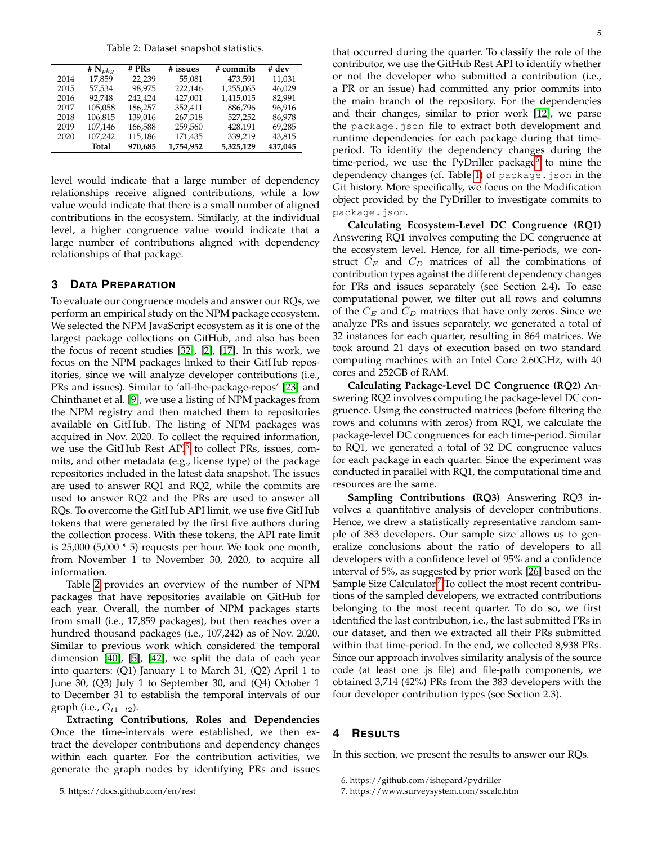Table 2: Dataset snapshot statistics.

<span id="page-4-1"></span>

|      | # $N_{pkg}$ | # PRs   | # issues  | # commits | # dev   |
|------|-------------|---------|-----------|-----------|---------|
| 2014 | 17.859      | 22.239  | 55.081    | 473.591   | 11.031  |
| 2015 | 57.534      | 98.975  | 222,146   | 1,255,065 | 46.029  |
| 2016 | 92.748      | 242.424 | 427.001   | 1,415,015 | 82.991  |
| 2017 | 105.058     | 186.257 | 352.411   | 886.796   | 96.916  |
| 2018 | 106.815     | 139.016 | 267.318   | 527.252   | 86.978  |
| 2019 | 107,146     | 166,588 | 259,560   | 428,191   | 69,285  |
| 2020 | 107,242     | 115,186 | 171,435   | 339,219   | 43,815  |
|      | Total       | 970,685 | 1,754,952 | 5,325,129 | 437,045 |

level would indicate that a large number of dependency relationships receive aligned contributions, while a low value would indicate that there is a small number of aligned contributions in the ecosystem. Similarly, at the individual level, a higher congruence value would indicate that a large number of contributions aligned with dependency relationships of that package.

# <span id="page-4-4"></span>**3 DATA PREPARATION**

To evaluate our congruence models and answer our RQs, we perform an empirical study on the NPM package ecosystem. We selected the NPM JavaScript ecosystem as it is one of the largest package collections on GitHub, and also has been the focus of recent studies [\[32\]](#page-11-2), [\[2\]](#page-11-4), [\[17\]](#page-11-5). In this work, we focus on the NPM packages linked to their GitHub repositories, since we will analyze developer contributions (i.e., PRs and issues). Similar to 'all-the-package-repos' [\[23\]](#page-11-6) and Chinthanet et al. [\[9\]](#page-11-7), we use a listing of NPM packages from the NPM registry and then matched them to repositories available on GitHub. The listing of NPM packages was acquired in Nov. 2020. To collect the required information, we use the GitHub Rest API<sup>[5](#page-4-0)</sup> to collect PRs, issues, commits, and other metadata (e.g., license type) of the package repositories included in the latest data snapshot. The issues are used to answer RQ1 and RQ2, while the commits are used to answer RQ2 and the PRs are used to answer all RQs. To overcome the GitHub API limit, we use five GitHub tokens that were generated by the first five authors during the collection process. With these tokens, the API rate limit is 25,000 (5,000 \* 5) requests per hour. We took one month, from November 1 to November 30, 2020, to acquire all information.

Table [2](#page-4-1) provides an overview of the number of NPM packages that have repositories available on GitHub for each year. Overall, the number of NPM packages starts from small (i.e., 17,859 packages), but then reaches over a hundred thousand packages (i.e., 107,242) as of Nov. 2020. Similar to previous work which considered the temporal dimension [\[40\]](#page-11-8), [\[5\]](#page-11-9), [\[42\]](#page-11-10), we split the data of each year into quarters: (Q1) January 1 to March 31, (Q2) April 1 to June 30, (Q3) July 1 to September 30, and (Q4) October 1 to December 31 to establish the temporal intervals of our graph (i.e.,  $G_{t1-t2}$ ).

<span id="page-4-0"></span>**Extracting Contributions, Roles and Dependencies** Once the time-intervals were established, we then extract the developer contributions and dependency changes within each quarter. For the contribution activities, we generate the graph nodes by identifying PRs and issues that occurred during the quarter. To classify the role of the contributor, we use the GitHub Rest API to identify whether or not the developer who submitted a contribution (i.e., a PR or an issue) had committed any prior commits into the main branch of the repository. For the dependencies and their changes, similar to prior work [\[12\]](#page-11-11), we parse the package.json file to extract both development and runtime dependencies for each package during that timeperiod. To identify the dependency changes during the time-period, we use the PyDriller package<sup>[6](#page-4-2)</sup> to mine the dependency changes (cf. Table [1\)](#page-2-0) of package.json in the Git history. More specifically, we focus on the Modification object provided by the PyDriller to investigate commits to package.json.

**Calculating Ecosystem-Level DC Congruence (RQ1)** Answering RQ1 involves computing the DC congruence at the ecosystem level. Hence, for all time-periods, we construct  $C_E$  and  $C_D$  matrices of all the combinations of contribution types against the different dependency changes for PRs and issues separately (see Section 2.4). To ease computational power, we filter out all rows and columns of the  $C_E$  and  $C_D$  matrices that have only zeros. Since we analyze PRs and issues separately, we generated a total of 32 instances for each quarter, resulting in 864 matrices. We took around 21 days of execution based on two standard computing machines with an Intel Core 2.60GHz, with 40 cores and 252GB of RAM.

**Calculating Package-Level DC Congruence (RQ2)** Answering RQ2 involves computing the package-level DC congruence. Using the constructed matrices (before filtering the rows and columns with zeros) from RQ1, we calculate the package-level DC congruences for each time-period. Similar to RQ1, we generated a total of 32 DC congruence values for each package in each quarter. Since the experiment was conducted in parallel with RQ1, the computational time and resources are the same.

**Sampling Contributions (RQ3)** Answering RQ3 involves a quantitative analysis of developer contributions. Hence, we drew a statistically representative random sample of 383 developers. Our sample size allows us to generalize conclusions about the ratio of developers to all developers with a confidence level of 95% and a confidence interval of 5%, as suggested by prior work [\[26\]](#page-11-12) based on the Sample Size Calculator.<sup>[7](#page-4-3)</sup> To collect the most recent contributions of the sampled developers, we extracted contributions belonging to the most recent quarter. To do so, we first identified the last contribution, i.e., the last submitted PRs in our dataset, and then we extracted all their PRs submitted within that time-period. In the end, we collected 8,938 PRs. Since our approach involves similarity analysis of the source code (at least one .js file) and file-path components, we obtained 3,714 (42%) PRs from the 383 developers with the four developer contribution types (see Section 2.3).

# **4 RESULTS**

In this section, we present the results to answer our RQs.

<span id="page-4-2"></span>6. https://github.com/ishepard/pydriller

<span id="page-4-3"></span><sup>7.</sup> https://www.surveysystem.com/sscalc.htm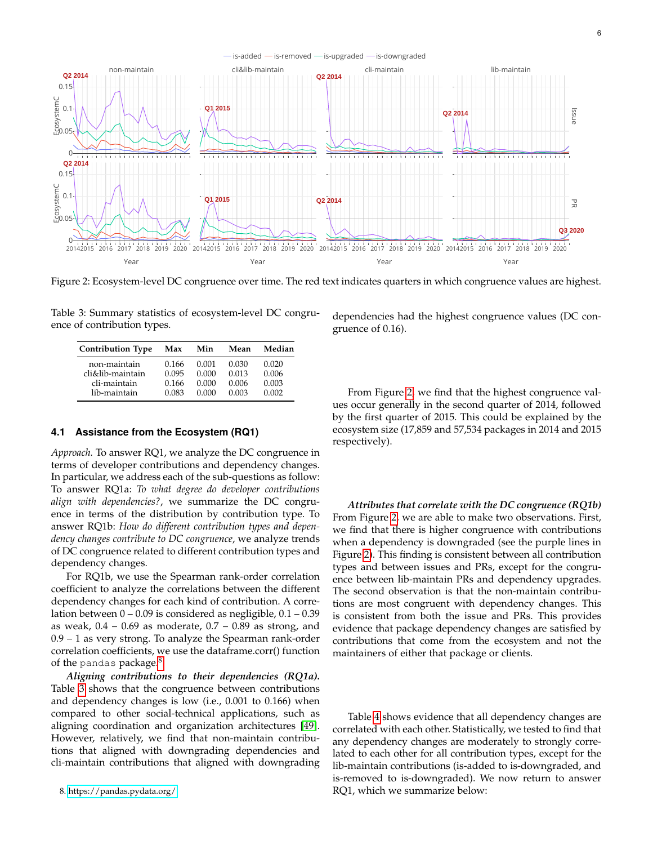<span id="page-5-2"></span>

Figure 2: Ecosystem-level DC congruence over time. The red text indicates quarters in which congruence values are highest.

<span id="page-5-1"></span>

| Table 3: Summary statistics of ecosystem-level DC congru- |  |
|-----------------------------------------------------------|--|
| ence of contribution types.                               |  |

| <b>Contribution Type</b> | Max   | Min   | Mean  | Median |
|--------------------------|-------|-------|-------|--------|
| non-maintain             | 0.166 | 0.001 | 0.030 | 0.020  |
| cli&lib-maintain         | 0.095 | 0.000 | 0.013 | 0.006  |
| cli-maintain             | 0.166 | 0.000 | 0.006 | 0.003  |
| lib-maintain             | 0.083 | 0.000 | 0.003 | 0.002  |

# **4.1 Assistance from the Ecosystem (RQ1)**

*Approach.* To answer RQ1, we analyze the DC congruence in terms of developer contributions and dependency changes. In particular, we address each of the sub-questions as follow: To answer RQ1a: *To what degree do developer contributions align with dependencies?*, we summarize the DC congruence in terms of the distribution by contribution type. To answer RQ1b: *How do different contribution types and dependency changes contribute to DC congruence*, we analyze trends of DC congruence related to different contribution types and dependency changes.

For RQ1b, we use the Spearman rank-order correlation coefficient to analyze the correlations between the different dependency changes for each kind of contribution. A correlation between  $0 - 0.09$  is considered as negligible,  $0.1 - 0.39$ as weak,  $0.4 - 0.69$  as moderate,  $0.7 - 0.89$  as strong, and 0.9 – 1 as very strong. To analyze the Spearman rank-order correlation coefficients, we use the dataframe.corr() function of the pandas package.<sup>[8](#page-5-0)</sup>

<span id="page-5-0"></span>*Aligning contributions to their dependencies (RQ1a).* Table [3](#page-5-1) shows that the congruence between contributions and dependency changes is low (i.e., 0.001 to 0.166) when compared to other social-technical applications, such as aligning coordination and organization architectures [\[49\]](#page-12-6). However, relatively, we find that non-maintain contributions that aligned with downgrading dependencies and cli-maintain contributions that aligned with downgrading dependencies had the highest congruence values (DC congruence of 0.16).

From Figure [2,](#page-5-2) we find that the highest congruence values occur generally in the second quarter of 2014, followed by the first quarter of 2015. This could be explained by the ecosystem size (17,859 and 57,534 packages in 2014 and 2015 respectively).

*Attributes that correlate with the DC congruence (RQ1b)* From Figure [2,](#page-5-2) we are able to make two observations. First, we find that there is higher congruence with contributions when a dependency is downgraded (see the purple lines in Figure [2\)](#page-5-2). This finding is consistent between all contribution types and between issues and PRs, except for the congruence between lib-maintain PRs and dependency upgrades. The second observation is that the non-maintain contributions are most congruent with dependency changes. This is consistent from both the issue and PRs. This provides evidence that package dependency changes are satisfied by contributions that come from the ecosystem and not the maintainers of either that package or clients.

Table [4](#page-6-0) shows evidence that all dependency changes are correlated with each other. Statistically, we tested to find that any dependency changes are moderately to strongly correlated to each other for all contribution types, except for the lib-maintain contributions (is-added to is-downgraded, and is-removed to is-downgraded). We now return to answer RQ1, which we summarize below: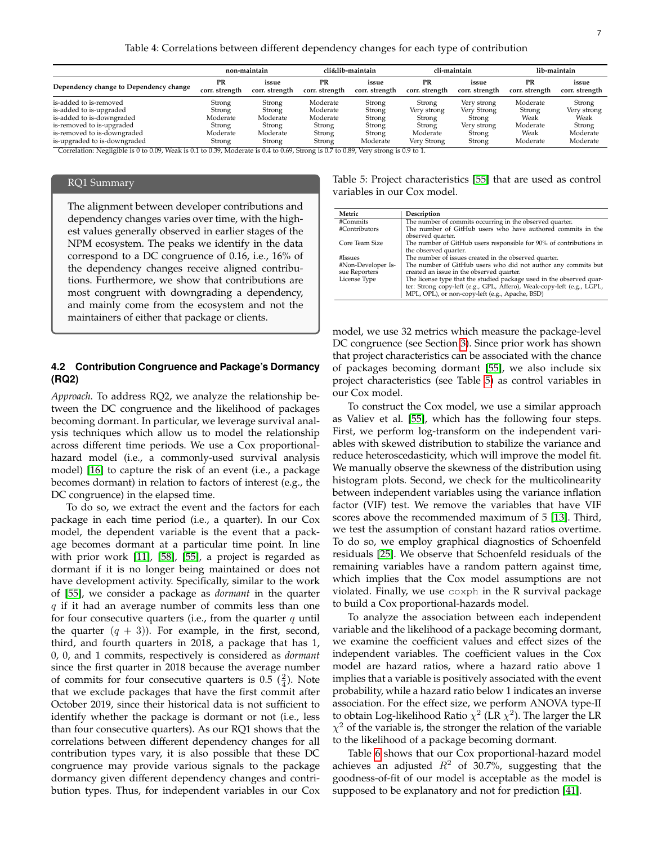Table 4: Correlations between different dependency changes for each type of contribution

<span id="page-6-0"></span>

|                                        |                      | non-maintain            |                      | cli&lib-maintain        |                      | cli-maintain            |                      | lib-maintain            |
|----------------------------------------|----------------------|-------------------------|----------------------|-------------------------|----------------------|-------------------------|----------------------|-------------------------|
| Dependency change to Dependency change | PR<br>corr. strength | issue<br>corr. strength | PR<br>corr. strength | issue<br>corr. strength | PR<br>corr. strength | issue<br>corr. strength | PR<br>corr. strength | issue<br>corr. strength |
| is-added to is-removed                 | Strong               | Strong                  | Moderate             | Strong                  | Strong               | Very strong             | Moderate             | Strong                  |
| is-added to is-upgraded                | Strong               | Strong                  | Moderate             | Strong                  | Very strong          | Very Strong             | Strong               | Very strong             |
| is-added to is-downgraded              | Moderate             | Moderate                | Moderate             | Strong                  | Strong               | Strong                  | Weak                 | Weak                    |
| is-removed to is-upgraded              | Strong               | Strong                  | Strong               | Strong                  | Strong               | Very strong             | Moderate             | Strong                  |
| is-removed to is-downgraded            | Moderate             | Moderate                | Strong               | Strong                  | Moderate             | Strong                  | Weak                 | Moderate                |
| is-upgraded to is-downgraded           | Strong               | Strong                  | Strong               | Moderate                | Very Strong          | Strong                  | Moderate             | Moderate                |

Correlation: Negligible is 0 to 0.09, Weak is 0.1 to 0.39, Moderate is 0.4 to 0.69, Strong is 0.7 to 0.89, Very strong is 0.9 to 1.

## RQ1 Summary

The alignment between developer contributions and dependency changes varies over time, with the highest values generally observed in earlier stages of the NPM ecosystem. The peaks we identify in the data correspond to a DC congruence of 0.16, i.e., 16% of the dependency changes receive aligned contributions. Furthermore, we show that contributions are most congruent with downgrading a dependency, and mainly come from the ecosystem and not the maintainers of either that package or clients.

# **4.2 Contribution Congruence and Package's Dormancy (RQ2)**

*Approach.* To address RQ2, we analyze the relationship between the DC congruence and the likelihood of packages becoming dormant. In particular, we leverage survival analysis techniques which allow us to model the relationship across different time periods. We use a Cox proportionalhazard model (i.e., a commonly-used survival analysis model) [\[16\]](#page-11-13) to capture the risk of an event (i.e., a package becomes dormant) in relation to factors of interest (e.g., the DC congruence) in the elapsed time.

To do so, we extract the event and the factors for each package in each time period (i.e., a quarter). In our Cox model, the dependent variable is the event that a package becomes dormant at a particular time point. In line with prior work [\[11\]](#page-11-14), [\[58\]](#page-12-7), [\[55\]](#page-12-1), a project is regarded as dormant if it is no longer being maintained or does not have development activity. Specifically, similar to the work of [\[55\]](#page-12-1), we consider a package as *dormant* in the quarter  $q$  if it had an average number of commits less than one for four consecutive quarters (i.e., from the quarter  $q$  until the quarter  $(q + 3)$ ). For example, in the first, second, third, and fourth quarters in 2018, a package that has 1, 0, 0, and 1 commits, respectively is considered as *dormant* since the first quarter in 2018 because the average number of commits for four consecutive quarters is  $0.5\left(\frac{2}{4}\right)$ . Note that we exclude packages that have the first commit after October 2019, since their historical data is not sufficient to identify whether the package is dormant or not (i.e., less than four consecutive quarters). As our RQ1 shows that the correlations between different dependency changes for all contribution types vary, it is also possible that these DC congruence may provide various signals to the package dormancy given different dependency changes and contribution types. Thus, for independent variables in our Cox

<span id="page-6-1"></span>Table 5: Project characteristics [\[55\]](#page-12-1) that are used as control variables in our Cox model.

| Metric                              | Description                                                                                                                                                                                       |
|-------------------------------------|---------------------------------------------------------------------------------------------------------------------------------------------------------------------------------------------------|
| #Commits                            | The number of commits occurring in the observed quarter.                                                                                                                                          |
| #Contributors                       | The number of GitHub users who have authored commits in the<br>observed quarter.                                                                                                                  |
| Core Team Size                      | The number of GitHub users responsible for 90% of contributions in<br>the observed quarter.                                                                                                       |
| #Issues                             | The number of issues created in the observed quarter.                                                                                                                                             |
| #Non-Developer Is-<br>sue Reporters | The number of GitHub users who did not author any commits but<br>created an issue in the observed quarter.                                                                                        |
| License Type                        | The license type that the studied package used in the observed quar-<br>ter: Strong copy-left (e.g., GPL, Affero), Weak-copy-left (e.g., LGPL,<br>MPL, OPL), or non-copy-left (e.g., Apache, BSD) |

model, we use 32 metrics which measure the package-level DC congruence (see Section [3\)](#page-4-4). Since prior work has shown that project characteristics can be associated with the chance of packages becoming dormant [\[55\]](#page-12-1), we also include six project characteristics (see Table [5\)](#page-6-1) as control variables in our Cox model.

To construct the Cox model, we use a similar approach as Valiev et al. [\[55\]](#page-12-1), which has the following four steps. First, we perform log-transform on the independent variables with skewed distribution to stabilize the variance and reduce heteroscedasticity, which will improve the model fit. We manually observe the skewness of the distribution using histogram plots. Second, we check for the multicolinearity between independent variables using the variance inflation factor (VIF) test. We remove the variables that have VIF scores above the recommended maximum of 5 [\[13\]](#page-11-15). Third, we test the assumption of constant hazard ratios overtime. To do so, we employ graphical diagnostics of Schoenfeld residuals [\[25\]](#page-11-16). We observe that Schoenfeld residuals of the remaining variables have a random pattern against time, which implies that the Cox model assumptions are not violated. Finally, we use coxph in the R survival package to build a Cox proportional-hazards model.

To analyze the association between each independent variable and the likelihood of a package becoming dormant, we examine the coefficient values and effect sizes of the independent variables. The coefficient values in the Cox model are hazard ratios, where a hazard ratio above 1 implies that a variable is positively associated with the event probability, while a hazard ratio below 1 indicates an inverse association. For the effect size, we perform ANOVA type-II to obtain Log-likelihood Ratio  $\chi^2$  (LR  $\chi^2$ ). The larger the LR  $\chi^2$  of the variable is, the stronger the relation of the variable to the likelihood of a package becoming dormant.

Table [6](#page-7-0) shows that our Cox proportional-hazard model achieves an adjusted  $R^2$  of 30.7%, suggesting that the goodness-of-fit of our model is acceptable as the model is supposed to be explanatory and not for prediction [\[41\]](#page-11-17).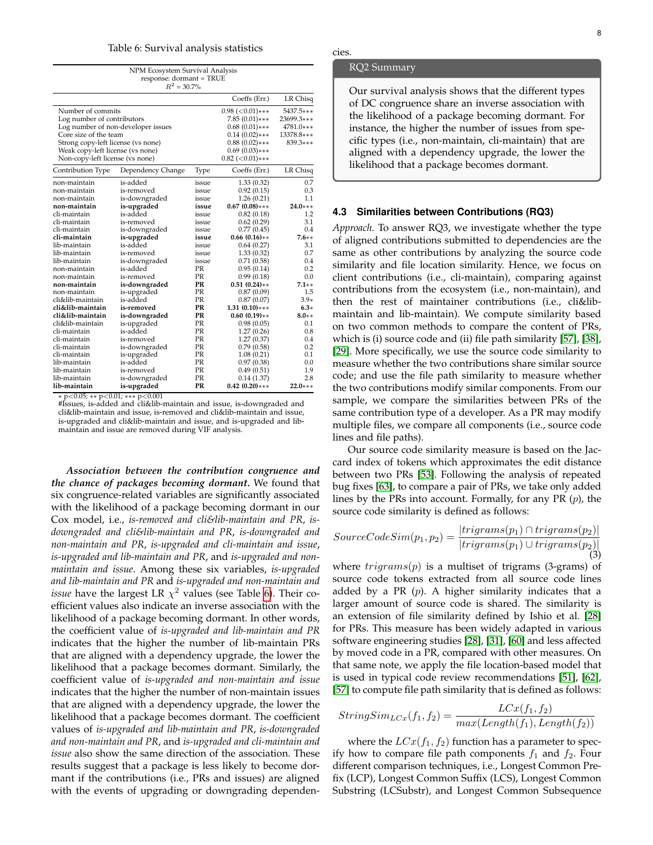#### Table 6: Survival analysis statistics

<span id="page-7-0"></span>

|                                                                                                                                                                                                                             | NPM Ecosystem Survival Analysis<br>response: dormant = TRUE<br>$R^2 = 30.7\%$ |                         |                                                                                                                                                    |                                                                  |
|-----------------------------------------------------------------------------------------------------------------------------------------------------------------------------------------------------------------------------|-------------------------------------------------------------------------------|-------------------------|----------------------------------------------------------------------------------------------------------------------------------------------------|------------------------------------------------------------------|
|                                                                                                                                                                                                                             |                                                                               |                         | Coeffs (Err.)                                                                                                                                      | LR Chisq                                                         |
| Number of commits<br>Log number of contributors<br>Log number of non-developer issues<br>Core size of the team<br>Strong copy-left license (vs none)<br>Weak copy-left license (vs none)<br>Non-copy-left license (vs none) |                                                                               |                         | $0.98$ ( $< 0.01$ )***<br>$7.85(0.01)***$<br>$0.68(0.01)$ ***<br>$0.14(0.02)***$<br>$0.88(0.02)$ ***<br>$0.69(0.03)$ ***<br>$0.82$ ( $< 0.01$ )*** | 5437.5***<br>23699.3***<br>4781.0***<br>13378.8***<br>$839.3***$ |
| Contribution Type                                                                                                                                                                                                           | Dependency Change                                                             | Type                    | Coeffs (Err.)                                                                                                                                      | LR Chisq                                                         |
| non-maintain<br>non-maintain<br>non-maintain                                                                                                                                                                                | is-added<br>is-removed<br>is-downgraded                                       | issue<br>issue<br>issue | 1.33 (0.32)<br>0.92(0.15)<br>1.26(0.21)                                                                                                            | 0.7<br>0.3<br>1.1                                                |
| non-maintain                                                                                                                                                                                                                | is-upgraded                                                                   | issue                   | $0.67(0.08)$ ***                                                                                                                                   | $24.0***$                                                        |
| cli-maintain                                                                                                                                                                                                                | is-added                                                                      | issue                   | 0.82(0.18)                                                                                                                                         | 1.2                                                              |
| cli-maintain                                                                                                                                                                                                                | is-removed                                                                    | issue                   | 0.62(0.29)                                                                                                                                         | 3.1                                                              |
| cli-maintain<br>cli-maintain                                                                                                                                                                                                | is-downgraded                                                                 | issue                   | 0.77(0.45)                                                                                                                                         | 0.4<br>$7.6**$                                                   |
| lib-maintain                                                                                                                                                                                                                | is-upgraded<br>is-added                                                       | issue<br>issue          | $0.66(0.16)**$<br>0.64(0.27)                                                                                                                       | 3.1                                                              |
| lib-maintain                                                                                                                                                                                                                | is-removed                                                                    | issue                   | 1.33(0.32)                                                                                                                                         | 0.7                                                              |
| lib-maintain                                                                                                                                                                                                                | is-downgraded                                                                 | issue                   | 0.71(0.58)                                                                                                                                         | 0.4                                                              |
| non-maintain                                                                                                                                                                                                                | is-added                                                                      | PR                      | 0.95(0.14)                                                                                                                                         | 0.2                                                              |
| non-maintain                                                                                                                                                                                                                | is-removed                                                                    | PR                      | 0.99(0.18)                                                                                                                                         | 0.0                                                              |
| non-maintain                                                                                                                                                                                                                | is-downgraded                                                                 | PR                      | $0.51(0.24)$ **                                                                                                                                    | $7.1**$                                                          |
| non-maintain                                                                                                                                                                                                                | is-upgraded                                                                   | PR                      | 0.87(0.09)                                                                                                                                         | 1.5                                                              |
| cli&lib-maintain                                                                                                                                                                                                            | is-added                                                                      | PR                      | 0.87(0.07)                                                                                                                                         | $3.9*$                                                           |
| cli&lib-maintain                                                                                                                                                                                                            | is-removed                                                                    | PR                      | $1.31(0.10)***$                                                                                                                                    | $6.3*$                                                           |
| cli&lib-maintain                                                                                                                                                                                                            | is-downgraded                                                                 | PR                      | $0.60(0.19)**$                                                                                                                                     | $8.0**$                                                          |
| cli&lib-maintain                                                                                                                                                                                                            | is-upgraded                                                                   | PR                      | 0.98(0.05)                                                                                                                                         | 0.1                                                              |
| cli-maintain                                                                                                                                                                                                                | is-added                                                                      | <b>PR</b>               | 1.27(0.26)                                                                                                                                         | 0.8                                                              |
| cli-maintain                                                                                                                                                                                                                | is-removed                                                                    | PR                      | 1.27(0.37)                                                                                                                                         | 0.4                                                              |
| cli-maintain                                                                                                                                                                                                                | is-downgraded                                                                 | PR                      | 0.79(0.58)                                                                                                                                         | 0.2                                                              |
| cli-maintain                                                                                                                                                                                                                | is-upgraded                                                                   | PR                      | 1.08(0.21)                                                                                                                                         | 0.1                                                              |
| lib-maintain                                                                                                                                                                                                                | is-added                                                                      | PR                      | 0.97(0.38)                                                                                                                                         | 0.0                                                              |
| lib-maintain                                                                                                                                                                                                                | is-removed                                                                    | <b>PR</b>               | 0.49(0.51)                                                                                                                                         | 1.9                                                              |
| lib-maintain                                                                                                                                                                                                                | is-downgraded                                                                 | PR                      | 0.14(1.37)                                                                                                                                         | 2.8                                                              |
| lib-maintain                                                                                                                                                                                                                | is-upgraded                                                                   | PR                      | $0.42(0.20)$ ***                                                                                                                                   | $22.0***$                                                        |

∗ p<0.05; ∗∗ p<0.01; ∗∗∗ p<0.001 #Issues, is-added and cli&lib-maintain and issue, is-downgraded and cli&lib-maintain and issue, is-removed and cli&lib-maintain and issue, is-upgraded and cli&lib-maintain and issue, and is-upgraded and libmaintain and issue are removed during VIF analysis.

*Association between the contribution congruence and the chance of packages becoming dormant.* We found that six congruence-related variables are significantly associated with the likelihood of a package becoming dormant in our Cox model, i.e., *is-removed and cli&lib-maintain and PR*, *isdowngraded and cli&lib-maintain and PR*, *is-downgraded and non-maintain and PR*, *is-upgraded and cli-maintain and issue*, *is-upgraded and lib-maintain and PR*, and *is-upgraded and nonmaintain and issue*. Among these six variables, *is-upgraded and lib-maintain and PR* and *is-upgraded and non-maintain and issue* have the largest LR  $\chi^2$  values (see Table [6\)](#page-7-0). Their coefficient values also indicate an inverse association with the likelihood of a package becoming dormant. In other words, the coefficient value of *is-upgraded and lib-maintain and PR* indicates that the higher the number of lib-maintain PRs that are aligned with a dependency upgrade, the lower the likelihood that a package becomes dormant. Similarly, the coefficient value of *is-upgraded and non-maintain and issue* indicates that the higher the number of non-maintain issues that are aligned with a dependency upgrade, the lower the likelihood that a package becomes dormant. The coefficient values of *is-upgraded and lib-maintain and PR*, *is-downgraded and non-maintain and PR*, and *is-upgraded and cli-maintain and issue* also show the same direction of the association. These results suggest that a package is less likely to become dormant if the contributions (i.e., PRs and issues) are aligned with the events of upgrading or downgrading dependen-

#### RQ2 Summary

cies.

Our survival analysis shows that the different types of DC congruence share an inverse association with the likelihood of a package becoming dormant. For instance, the higher the number of issues from specific types (i.e., non-maintain, cli-maintain) that are aligned with a dependency upgrade, the lower the likelihood that a package becomes dormant.

### **4.3 Similarities between Contributions (RQ3)**

*Approach.* To answer RQ3, we investigate whether the type of aligned contributions submitted to dependencies are the same as other contributions by analyzing the source code similarity and file location similarity. Hence, we focus on client contributions (i.e., cli-maintain), comparing against contributions from the ecosystem (i.e., non-maintain), and then the rest of maintainer contributions (i.e., cli&libmaintain and lib-maintain). We compute similarity based on two common methods to compare the content of PRs, which is (i) source code and (ii) file path similarity [\[57\]](#page-12-8), [\[38\]](#page-11-18), [\[29\]](#page-11-19). More specifically, we use the source code similarity to measure whether the two contributions share similar source code; and use the file path similarity to measure whether the two contributions modify similar components. From our sample, we compare the similarities between PRs of the same contribution type of a developer. As a PR may modify multiple files, we compare all components (i.e., source code lines and file paths).

Our source code similarity measure is based on the Jaccard index of tokens which approximates the edit distance between two PRs [\[53\]](#page-12-9). Following the analysis of repeated bug fixes [\[63\]](#page-12-10), to compare a pair of PRs, we take only added lines by the PRs into account. Formally, for any PR  $(p)$ , the source code similarity is defined as follows:

$$
SourceCodeSim(p_1, p_2) = \frac{|trigrams(p_1) \cap trigrams(p_2)|}{|trigrams(p_1) \cup trigrams(p_2)|}
$$
  
(3)

where  $trigrams(p)$  is a multiset of trigrams (3-grams) of source code tokens extracted from all source code lines added by a PR  $(p)$ . A higher similarity indicates that a larger amount of source code is shared. The similarity is an extension of file similarity defined by Ishio et al. [\[28\]](#page-11-20) for PRs. This measure has been widely adapted in various software engineering studies [\[28\]](#page-11-20), [\[31\]](#page-11-21), [\[60\]](#page-12-11) and less affected by moved code in a PR, compared with other measures. On that same note, we apply the file location-based model that is used in typical code review recommendations [\[51\]](#page-12-12), [\[62\]](#page-12-13), [\[57\]](#page-12-8) to compute file path similarity that is defined as follows:

$$
StringSim_{LCx}(f_1, f_2) = \frac{LCx(f_1, f_2)}{max(Length(f_1), Length(f_2))}
$$

where the  $LCx(f_1, f_2)$  function has a parameter to specify how to compare file path components  $f_1$  and  $f_2$ . Four different comparison techniques, i.e., Longest Common Prefix (LCP), Longest Common Suffix (LCS), Longest Common Substring (LCSubstr), and Longest Common Subsequence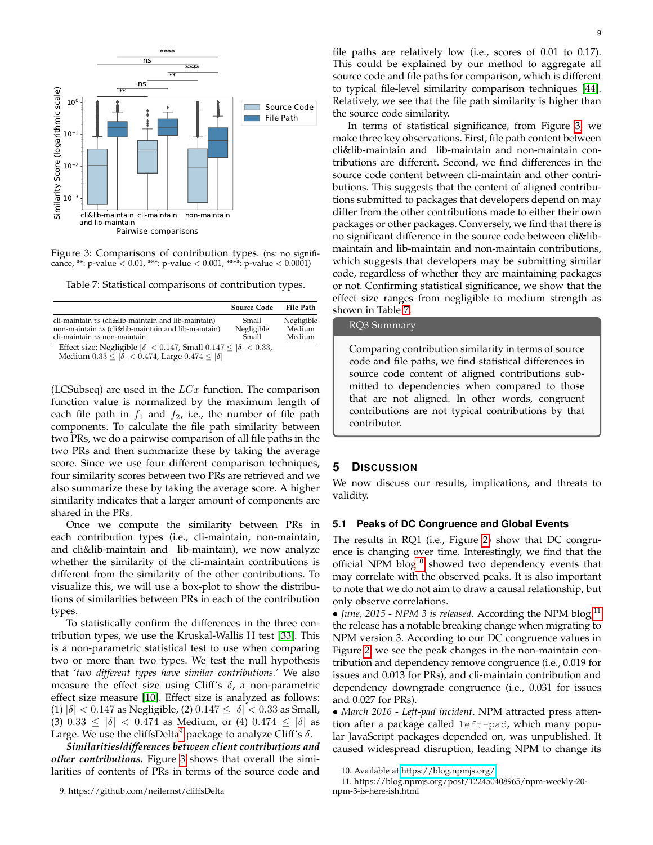<span id="page-8-1"></span>

Figure 3: Comparisons of contribution types. (ns: no significance, \*\*: p-value <  $0.01$ , \*\*\*: p-value <  $0.001$ , \*\*\*\*: p-value <  $0.0001$ )

<span id="page-8-2"></span>Table 7: Statistical comparisons of contribution types.

|                                                                                                                                            | <b>Source Code</b>           | File Path                      |
|--------------------------------------------------------------------------------------------------------------------------------------------|------------------------------|--------------------------------|
| cli-maintain vs (cli&lib-maintain and lib-maintain)<br>non-maintain vs (cli&lib-maintain and lib-maintain)<br>cli-maintain vs non-maintain | Small<br>Negligible<br>Small | Negligible<br>Medium<br>Medium |
| Effect size: Negligible $ \delta $ < 0.147, Small 0.147 $\leq  \delta $ < 0.33,                                                            |                              |                                |

Medium  $0.33 \le |\delta| < 0.474$ , Large  $0.474 \le |\delta|$ 

(LCSubseq) are used in the  $LCx$  function. The comparison function value is normalized by the maximum length of each file path in  $f_1$  and  $f_2$ , i.e., the number of file path components. To calculate the file path similarity between two PRs, we do a pairwise comparison of all file paths in the two PRs and then summarize these by taking the average score. Since we use four different comparison techniques, four similarity scores between two PRs are retrieved and we also summarize these by taking the average score. A higher similarity indicates that a larger amount of components are shared in the PRs.

Once we compute the similarity between PRs in each contribution types (i.e., cli-maintain, non-maintain, and cli&lib-maintain and lib-maintain), we now analyze whether the similarity of the cli-maintain contributions is different from the similarity of the other contributions. To visualize this, we will use a box-plot to show the distributions of similarities between PRs in each of the contribution types.

To statistically confirm the differences in the three contribution types, we use the Kruskal-Wallis H test [\[33\]](#page-11-22). This is a non-parametric statistical test to use when comparing two or more than two types. We test the null hypothesis that *'two different types have similar contributions.'* We also measure the effect size using Cliff's  $\delta$ , a non-parametric effect size measure [\[10\]](#page-11-23). Effect size is analyzed as follows: (1)  $|\delta|$  < 0.147 as Negligible, (2) 0.147  $\leq |\delta|$  < 0.33 as Small, (3)  $0.33 \le |\delta| < 0.474$  as Medium, or (4)  $0.474 \le |\delta|$  as Large. We use the cliffsDelta<sup>[9](#page-8-0)</sup> package to analyze Cliff's  $\delta$ .

<span id="page-8-0"></span>*Similarities/differences between client contributions and other contributions.* Figure [3](#page-8-1) shows that overall the similarities of contents of PRs in terms of the source code and

9

file paths are relatively low (i.e., scores of 0.01 to 0.17). This could be explained by our method to aggregate all source code and file paths for comparison, which is different to typical file-level similarity comparison techniques [\[44\]](#page-11-24). Relatively, we see that the file path similarity is higher than the source code similarity.

In terms of statistical significance, from Figure [3,](#page-8-1) we make three key observations. First, file path content between cli&lib-maintain and lib-maintain and non-maintain contributions are different. Second, we find differences in the source code content between cli-maintain and other contributions. This suggests that the content of aligned contributions submitted to packages that developers depend on may differ from the other contributions made to either their own packages or other packages. Conversely, we find that there is no significant difference in the source code between cli&libmaintain and lib-maintain and non-maintain contributions, which suggests that developers may be submitting similar code, regardless of whether they are maintaining packages or not. Confirming statistical significance, we show that the effect size ranges from negligible to medium strength as shown in Table [7.](#page-8-2)

## RQ3 Summary

Comparing contribution similarity in terms of source code and file paths, we find statistical differences in source code content of aligned contributions submitted to dependencies when compared to those that are not aligned. In other words, congruent contributions are not typical contributions by that contributor.

## **5 DISCUSSION**

We now discuss our results, implications, and threats to validity.

# **5.1 Peaks of DC Congruence and Global Events**

The results in RQ1 (i.e., Figure [2\)](#page-5-2) show that DC congruence is changing over time. Interestingly, we find that the official NPM  $blog^{10}$  $blog^{10}$  $blog^{10}$  showed two dependency events that may correlate with the observed peaks. It is also important to note that we do not aim to draw a causal relationship, but only observe correlations.

• *June,* 2015 - NPM 3 is released. According the NPM blog,  $\frac{11}{1}$  $\frac{11}{1}$  $\frac{11}{1}$ the release has a notable breaking change when migrating to NPM version 3. According to our DC congruence values in Figure [2,](#page-5-2) we see the peak changes in the non-maintain contribution and dependency remove congruence (i.e., 0.019 for issues and 0.013 for PRs), and cli-maintain contribution and dependency downgrade congruence (i.e., 0.031 for issues and 0.027 for PRs).

• *March 2016 - Left-pad incident*. NPM attracted press attention after a package called left-pad, which many popular JavaScript packages depended on, was unpublished. It caused widespread disruption, leading NPM to change its

<span id="page-8-4"></span><span id="page-8-3"></span>10. Available at<https://blog.npmjs.org/>

11. https://blog.npmjs.org/post/122450408965/npm-weekly-20 npm-3-is-here-ish.html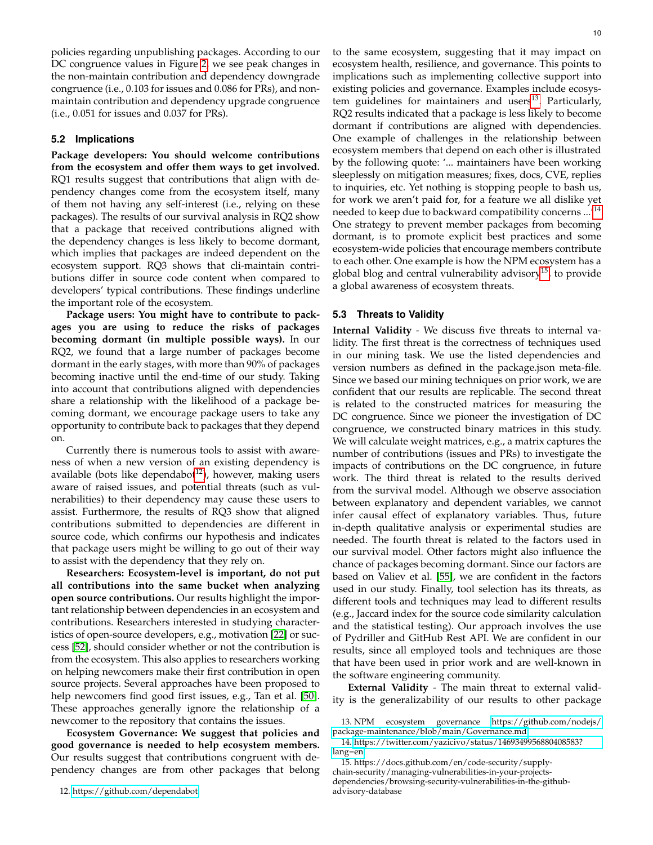policies regarding unpublishing packages. According to our DC congruence values in Figure [2,](#page-5-2) we see peak changes in the non-maintain contribution and dependency downgrade congruence (i.e., 0.103 for issues and 0.086 for PRs), and nonmaintain contribution and dependency upgrade congruence (i.e., 0.051 for issues and 0.037 for PRs).

## **5.2 Implications**

**Package developers: You should welcome contributions from the ecosystem and offer them ways to get involved.** RQ1 results suggest that contributions that align with dependency changes come from the ecosystem itself, many of them not having any self-interest (i.e., relying on these packages). The results of our survival analysis in RQ2 show that a package that received contributions aligned with the dependency changes is less likely to become dormant, which implies that packages are indeed dependent on the ecosystem support. RQ3 shows that cli-maintain contributions differ in source code content when compared to developers' typical contributions. These findings underline the important role of the ecosystem.

**Package users: You might have to contribute to packages you are using to reduce the risks of packages becoming dormant (in multiple possible ways).** In our RQ2, we found that a large number of packages become dormant in the early stages, with more than 90% of packages becoming inactive until the end-time of our study. Taking into account that contributions aligned with dependencies share a relationship with the likelihood of a package becoming dormant, we encourage package users to take any opportunity to contribute back to packages that they depend on.

Currently there is numerous tools to assist with awareness of when a new version of an existing dependency is available (bots like dependabot<sup>[12](#page-9-0)</sup>), however, making users aware of raised issues, and potential threats (such as vulnerabilities) to their dependency may cause these users to assist. Furthermore, the results of RQ3 show that aligned contributions submitted to dependencies are different in source code, which confirms our hypothesis and indicates that package users might be willing to go out of their way to assist with the dependency that they rely on.

**Researchers: Ecosystem-level is important, do not put all contributions into the same bucket when analyzing open source contributions.** Our results highlight the important relationship between dependencies in an ecosystem and contributions. Researchers interested in studying characteristics of open-source developers, e.g., motivation [\[22\]](#page-11-25) or success [\[52\]](#page-12-14), should consider whether or not the contribution is from the ecosystem. This also applies to researchers working on helping newcomers make their first contribution in open source projects. Several approaches have been proposed to help newcomers find good first issues, e.g., Tan et al. [\[50\]](#page-12-15). These approaches generally ignore the relationship of a newcomer to the repository that contains the issues.

<span id="page-9-0"></span>**Ecosystem Governance: We suggest that policies and good governance is needed to help ecosystem members.** Our results suggest that contributions congruent with dependency changes are from other packages that belong to the same ecosystem, suggesting that it may impact on ecosystem health, resilience, and governance. This points to implications such as implementing collective support into existing policies and governance. Examples include ecosys-tem guidelines for maintainers and users<sup>[13](#page-9-1)</sup>. Particularly, RQ2 results indicated that a package is less likely to become dormant if contributions are aligned with dependencies. One example of challenges in the relationship between ecosystem members that depend on each other is illustrated by the following quote: '... maintainers have been working sleeplessly on mitigation measures; fixes, docs, CVE, replies to inquiries, etc. Yet nothing is stopping people to bash us, for work we aren't paid for, for a feature we all dislike yet needed to keep due to backward compatibility concerns ...<sup>'[14](#page-9-2)</sup> One strategy to prevent member packages from becoming dormant, is to promote explicit best practices and some ecosystem-wide policies that encourage members contribute to each other. One example is how the NPM ecosystem has a global blog and central vulnerability advisory<sup>[15](#page-9-3)</sup>, to provide a global awareness of ecosystem threats.

## **5.3 Threats to Validity**

**Internal Validity** - We discuss five threats to internal validity. The first threat is the correctness of techniques used in our mining task. We use the listed dependencies and version numbers as defined in the package.json meta-file. Since we based our mining techniques on prior work, we are confident that our results are replicable. The second threat is related to the constructed matrices for measuring the DC congruence. Since we pioneer the investigation of DC congruence, we constructed binary matrices in this study. We will calculate weight matrices, e.g., a matrix captures the number of contributions (issues and PRs) to investigate the impacts of contributions on the DC congruence, in future work. The third threat is related to the results derived from the survival model. Although we observe association between explanatory and dependent variables, we cannot infer causal effect of explanatory variables. Thus, future in-depth qualitative analysis or experimental studies are needed. The fourth threat is related to the factors used in our survival model. Other factors might also influence the chance of packages becoming dormant. Since our factors are based on Valiev et al. [\[55\]](#page-12-1), we are confident in the factors used in our study. Finally, tool selection has its threats, as different tools and techniques may lead to different results (e.g., Jaccard index for the source code similarity calculation and the statistical testing). Our approach involves the use of Pydriller and GitHub Rest API. We are confident in our results, since all employed tools and techniques are those that have been used in prior work and are well-known in the software engineering community.

**External Validity** - The main threat to external validity is the generalizability of our results to other package

<span id="page-9-1"></span><sup>13.</sup> NPM ecosystem governance [https://github.com/nodejs/](https://github.com/nodejs/package-maintenance/blob/main/Governance.md) [package-maintenance/blob/main/Governance.md](https://github.com/nodejs/package-maintenance/blob/main/Governance.md)

<span id="page-9-2"></span><sup>14.</sup> [https://twitter.com/yazicivo/status/1469349956880408583?](https://twitter.com/yazicivo/status/1469349956880408583?lang=en) [lang=en](https://twitter.com/yazicivo/status/1469349956880408583?lang=en)

<span id="page-9-3"></span><sup>15.</sup> https://docs.github.com/en/code-security/supply-

chain-security/managing-vulnerabilities-in-your-projectsdependencies/browsing-security-vulnerabilities-in-the-githubadvisory-database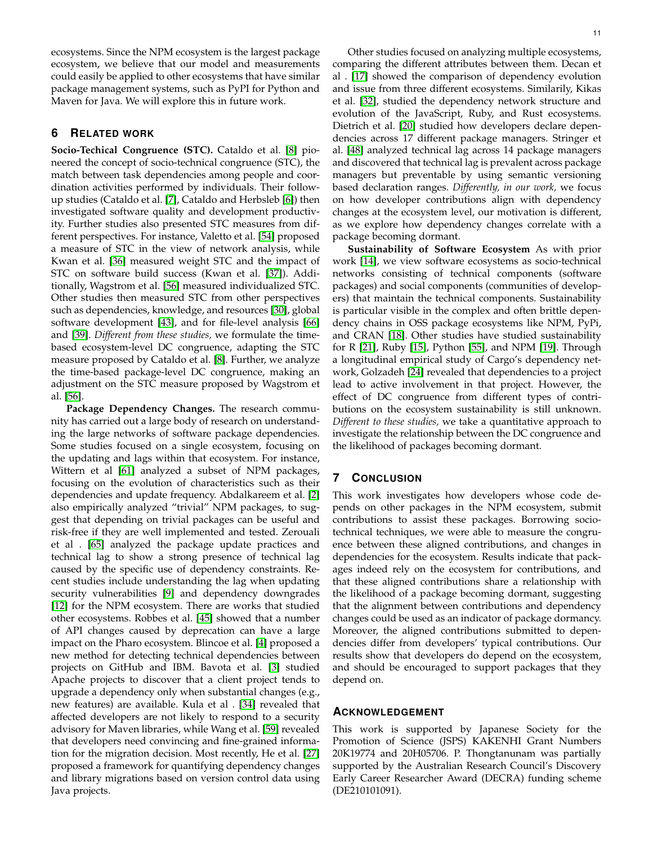ecosystems. Since the NPM ecosystem is the largest package ecosystem, we believe that our model and measurements could easily be applied to other ecosystems that have similar package management systems, such as PyPI for Python and Maven for Java. We will explore this in future work.

# **6 RELATED WORK**

**Socio-Techical Congruence (STC).** Cataldo et al. [\[8\]](#page-11-26) pioneered the concept of socio-technical congruence (STC), the match between task dependencies among people and coordination activities performed by individuals. Their followup studies (Cataldo et al. [\[7\]](#page-11-3), Cataldo and Herbsleb [\[6\]](#page-11-27)) then investigated software quality and development productivity. Further studies also presented STC measures from different perspectives. For instance, Valetto et al. [\[54\]](#page-12-16) proposed a measure of STC in the view of network analysis, while Kwan et al. [\[36\]](#page-11-28) measured weight STC and the impact of STC on software build success (Kwan et al. [\[37\]](#page-11-29)). Additionally, Wagstrom et al. [\[56\]](#page-12-5) measured individualized STC. Other studies then measured STC from other perspectives such as dependencies, knowledge, and resources [\[30\]](#page-11-30), global software development [\[43\]](#page-11-31), and for file-level analysis [\[66\]](#page-12-17) and [\[39\]](#page-11-32). *Different from these studies,* we formulate the timebased ecosystem-level DC congruence, adapting the STC measure proposed by Cataldo et al. [\[8\]](#page-11-26). Further, we analyze the time-based package-level DC congruence, making an adjustment on the STC measure proposed by Wagstrom et al. [\[56\]](#page-12-5).

**Package Dependency Changes.** The research community has carried out a large body of research on understanding the large networks of software package dependencies. Some studies focused on a single ecosystem, focusing on the updating and lags within that ecosystem. For instance, Wittern et al [\[61\]](#page-12-0) analyzed a subset of NPM packages, focusing on the evolution of characteristics such as their dependencies and update frequency. Abdalkareem et al. [\[2\]](#page-11-4) also empirically analyzed "trivial" NPM packages, to suggest that depending on trivial packages can be useful and risk-free if they are well implemented and tested. Zerouali et al . [\[65\]](#page-12-18) analyzed the package update practices and technical lag to show a strong presence of technical lag caused by the specific use of dependency constraints. Recent studies include understanding the lag when updating security vulnerabilities [\[9\]](#page-11-7) and dependency downgrades [\[12\]](#page-11-11) for the NPM ecosystem. There are works that studied other ecosystems. Robbes et al. [\[45\]](#page-11-33) showed that a number of API changes caused by deprecation can have a large impact on the Pharo ecosystem. Blincoe et al. [\[4\]](#page-11-34) proposed a new method for detecting technical dependencies between projects on GitHub and IBM. Bavota et al. [\[3\]](#page-11-35) studied Apache projects to discover that a client project tends to upgrade a dependency only when substantial changes (e.g., new features) are available. Kula et al . [\[34\]](#page-11-36) revealed that affected developers are not likely to respond to a security advisory for Maven libraries, while Wang et al. [\[59\]](#page-12-19) revealed that developers need convincing and fine-grained information for the migration decision. Most recently, He et al. [\[27\]](#page-11-37) proposed a framework for quantifying dependency changes and library migrations based on version control data using Java projects.

Other studies focused on analyzing multiple ecosystems, comparing the different attributes between them. Decan et al . [\[17\]](#page-11-5) showed the comparison of dependency evolution and issue from three different ecosystems. Similarily, Kikas et al. [\[32\]](#page-11-2), studied the dependency network structure and evolution of the JavaScript, Ruby, and Rust ecosystems. Dietrich et al. [\[20\]](#page-11-38) studied how developers declare dependencies across 17 different package managers. Stringer et al. [\[48\]](#page-12-20) analyzed technical lag across 14 package managers and discovered that technical lag is prevalent across package managers but preventable by using semantic versioning based declaration ranges. *Differently, in our work,* we focus on how developer contributions align with dependency changes at the ecosystem level, our motivation is different, as we explore how dependency changes correlate with a package becoming dormant.

**Sustainability of Software Ecosystem** As with prior work [\[14\]](#page-11-39), we view software ecosystems as socio-technical networks consisting of technical components (software packages) and social components (communities of developers) that maintain the technical components. Sustainability is particular visible in the complex and often brittle dependency chains in OSS package ecosystems like NPM, PyPi, and CRAN [\[18\]](#page-11-40). Other studies have studied sustainability for R [\[21\]](#page-11-41), Ruby [\[15\]](#page-11-42), Python [\[55\]](#page-12-1), and NPM [\[19\]](#page-11-43). Through a longitudinal empirical study of Cargo's dependency network, Golzadeh [\[24\]](#page-11-44) revealed that dependencies to a project lead to active involvement in that project. However, the effect of DC congruence from different types of contributions on the ecosystem sustainability is still unknown. *Different to these studies,* we take a quantitative approach to investigate the relationship between the DC congruence and the likelihood of packages becoming dormant.

# **7 CONCLUSION**

This work investigates how developers whose code depends on other packages in the NPM ecosystem, submit contributions to assist these packages. Borrowing sociotechnical techniques, we were able to measure the congruence between these aligned contributions, and changes in dependencies for the ecosystem. Results indicate that packages indeed rely on the ecosystem for contributions, and that these aligned contributions share a relationship with the likelihood of a package becoming dormant, suggesting that the alignment between contributions and dependency changes could be used as an indicator of package dormancy. Moreover, the aligned contributions submitted to dependencies differ from developers' typical contributions. Our results show that developers do depend on the ecosystem, and should be encouraged to support packages that they depend on.

## **ACKNOWLEDGEMENT**

This work is supported by Japanese Society for the Promotion of Science (JSPS) KAKENHI Grant Numbers 20K19774 and 20H05706. P. Thongtanunam was partially supported by the Australian Research Council's Discovery Early Career Researcher Award (DECRA) funding scheme (DE210101091).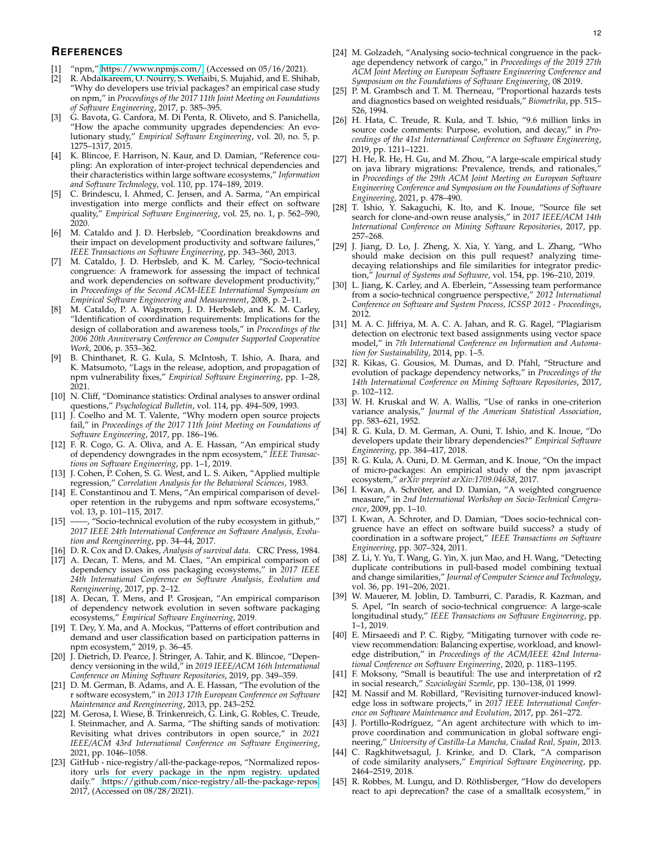# **REFERENCES**

- <span id="page-11-0"></span>"npm," [https://www.npmjs.com/,](https://www.npmjs.com/) (Accessed on  $05/16/2021$ ).
- <span id="page-11-4"></span>[2] R. Abdalkareem, O. Nourry, S. Wehaibi, S. Mujahid, and E. Shihab, "Why do developers use trivial packages? an empirical case study on npm," in *Proceedings of the 2017 11th Joint Meeting on Foundations of Software Engineering*, 2017, p. 385–395.
- <span id="page-11-35"></span>[3] G. Bavota, G. Canfora, M. Di Penta, R. Oliveto, and S. Panichella, "How the apache community upgrades dependencies: An evolutionary study," *Empirical Software Engineering*, vol. 20, no. 5, p. 1275–1317, 2015.
- <span id="page-11-34"></span>[4] K. Blincoe, F. Harrison, N. Kaur, and D. Damian, "Reference coupling: An exploration of inter-project technical dependencies and their characteristics within large software ecosystems," *Information and Software Technology*, vol. 110, pp. 174–189, 2019.
- <span id="page-11-9"></span>[5] C. Brindescu, I. Ahmed, C. Jensen, and A. Sarma, "An empirical investigation into merge conflicts and their effect on software quality," *Empirical Software Engineering*, vol. 25, no. 1, p. 562–590, 2020.
- <span id="page-11-27"></span>[6] M. Cataldo and J. D. Herbsleb, "Coordination breakdowns and their impact on development productivity and software failures," *IEEE Transactions on Software Engineering*, pp. 343–360, 2013.
- <span id="page-11-3"></span>[7] M. Cataldo, J. D. Herbsleb, and K. M. Carley, "Socio-technical congruence: A framework for assessing the impact of technical and work dependencies on software development productivity," in *Proceedings of the Second ACM-IEEE International Symposium on Empirical Software Engineering and Measurement*, 2008, p. 2–11.
- <span id="page-11-26"></span>[8] M. Cataldo, P. A. Wagstrom, J. D. Herbsleb, and K. M. Carley, "Identification of coordination requirements: Implications for the design of collaboration and awareness tools," in *Proceedings of the 2006 20th Anniversary Conference on Computer Supported Cooperative Work*, 2006, p. 353–362.
- <span id="page-11-7"></span>[9] B. Chinthanet, R. G. Kula, S. McIntosh, T. Ishio, A. Ihara, and K. Matsumoto, "Lags in the release, adoption, and propagation of npm vulnerability fixes," *Empirical Software Engineering*, pp. 1–28, 2021.
- <span id="page-11-23"></span>[10] N. Cliff, "Dominance statistics: Ordinal analyses to answer ordinal questions," *Psychological Bulletin*, vol. 114, pp. 494–509, 1993.
- <span id="page-11-14"></span>[11] J. Coelho and M. T. Valente, "Why modern open source projects fail," in *Proceedings of the 2017 11th Joint Meeting on Foundations of Software Engineering*, 2017, pp. 186–196.
- <span id="page-11-11"></span>[12] F. R. Cogo, G. A. Oliva, and A. E. Hassan, "An empirical study of dependency downgrades in the npm ecosystem," *IEEE Transactions on Software Engineering*, pp. 1–1, 2019.
- <span id="page-11-15"></span>[13] J. Cohen, P. Cohen, S. G. West, and L. S. Aiken, "Applied multiple regression," *Correlation Analysis for the Behavioral Sciences*, 1983.
- <span id="page-11-39"></span>[14] E. Constantinou and T. Mens, "An empirical comparison of developer retention in the rubygems and npm software ecosystems," vol. 13, p. 101–115, 2017.
- <span id="page-11-42"></span>[15] ——, "Socio-technical evolution of the ruby ecosystem in github," *2017 IEEE 24th International Conference on Software Analysis, Evolution and Reengineering*, pp. 34–44, 2017.
- <span id="page-11-13"></span>[16] D. R. Cox and D. Oakes, *Analysis of survival data*. CRC Press, 1984.
- <span id="page-11-5"></span>[17] A. Decan, T. Mens, and M. Claes, "An empirical comparison of dependency issues in oss packaging ecosystems," in *2017 IEEE 24th International Conference on Software Analysis, Evolution and Reengineering*, 2017, pp. 2–12.
- <span id="page-11-40"></span>[18] A. Decan, T. Mens, and P. Grosjean, "An empirical comparison of dependency network evolution in seven software packaging ecosystems," *Empirical Software Engineering*, 2019.
- <span id="page-11-43"></span>[19] T. Dey, Y. Ma, and A. Mockus, "Patterns of effort contribution and demand and user classification based on participation patterns in npm ecosystem," 2019, p. 36–45.
- <span id="page-11-38"></span>[20] J. Dietrich, D. Pearce, J. Stringer, A. Tahir, and K. Blincoe, "Dependency versioning in the wild," in *2019 IEEE/ACM 16th International Conference on Mining Software Repositories*, 2019, pp. 349–359.
- <span id="page-11-41"></span>[21] D. M. German, B. Adams, and A. E. Hassan, "The evolution of the r software ecosystem," in *2013 17th European Conference on Software Maintenance and Reengineering*, 2013, pp. 243–252.
- <span id="page-11-25"></span>[22] M. Gerosa, I. Wiese, B. Trinkenreich, G. Link, G. Robles, C. Treude, I. Steinmacher, and A. Sarma, "The shifting sands of motivation: Revisiting what drives contributors in open source," in *2021 IEEE/ACM 43rd International Conference on Software Engineering*, 2021, pp. 1046–1058.
- <span id="page-11-6"></span>[23] GitHub - nice-registry/all-the-package-repos, "Normalized repository urls for every package in the npm registry. updated daily." [https://github.com/nice-registry/all-the-package-repos,](https://github.com/nice-registry/all-the-package-repos) 2017, (Accessed on 08/28/2021).
- <span id="page-11-44"></span>[24] M. Golzadeh, "Analysing socio-technical congruence in the package dependency network of cargo," in *Proceedings of the 2019 27th ACM Joint Meeting on European Software Engineering Conference and Symposium on the Foundations of Software Engineering*, 08 2019.
- <span id="page-11-16"></span>[25] P. M. Grambsch and T. M. Therneau, "Proportional hazards tests and diagnostics based on weighted residuals," *Biometrika*, pp. 515– 526, 1994.
- <span id="page-11-12"></span>[26] H. Hata, C. Treude, R. Kula, and T. Ishio, "9.6 million links in source code comments: Purpose, evolution, and decay," in *Proceedings of the 41st International Conference on Software Engineering*, 2019, pp. 1211–1221.
- <span id="page-11-37"></span>[27] H. He, R. He, H. Gu, and M. Zhou, "A large-scale empirical study on java library migrations: Prevalence, trends, and rationales," in *Proceedings of the 29th ACM Joint Meeting on European Software Engineering Conference and Symposium on the Foundations of Software Engineering*, 2021, p. 478–490.
- <span id="page-11-20"></span>[28] T. Ishio, Y. Sakaguchi, K. Ito, and K. Inoue, "Source file set search for clone-and-own reuse analysis," in *2017 IEEE/ACM 14th International Conference on Mining Software Repositories*, 2017, pp. 257–268.
- <span id="page-11-19"></span>[29] J. Jiang, D. Lo, J. Zheng, X. Xia, Y. Yang, and L. Zhang, "Who should make decision on this pull request? analyzing timedecaying relationships and file similarities for integrator prediction," *Journal of Systems and Software*, vol. 154, pp. 196–210, 2019.
- <span id="page-11-30"></span>[30] L. Jiang, K. Carley, and A. Eberlein, "Assessing team performance from a socio-technical congruence perspective," *2012 International Conference on Software and System Process, ICSSP 2012 - Proceedings*, 2012.
- <span id="page-11-21"></span>[31] M. A. C. Jiffriya, M. A. C. A. Jahan, and R. G. Ragel, "Plagiarism detection on electronic text based assignments using vector space model," in *7th International Conference on Information and Automation for Sustainability*, 2014, pp. 1–5.
- <span id="page-11-2"></span>[32] R. Kikas, G. Gousios, M. Dumas, and D. Pfahl, "Structure and evolution of package dependency networks," in *Proceedings of the 14th International Conference on Mining Software Repositories*, 2017, p. 102–112.
- <span id="page-11-22"></span>[33] W. H. Kruskal and W. A. Wallis, "Use of ranks in one-criterion variance analysis," *Journal of the American Statistical Association*, pp. 583–621, 1952.
- <span id="page-11-36"></span>[34] R. G. Kula, D. M. German, A. Ouni, T. Ishio, and K. Inoue, "Do developers update their library dependencies?" *Empirical Software Engineering*, pp. 384–417, 2018.
- <span id="page-11-1"></span>[35] R. G. Kula, A. Ouni, D. M. German, and K. Inoue, "On the impact of micro-packages: An empirical study of the npm javascript ecosystem," *arXiv preprint arXiv:1709.04638*, 2017.
- <span id="page-11-28"></span>[36] I. Kwan, A. Schröter, and D. Damian, "A weighted congruence measure," in *2nd International Workshop on Socio-Technical Congruence*, 2009, pp. 1–10.
- <span id="page-11-29"></span>[37] I. Kwan, A. Schroter, and D. Damian, "Does socio-technical congruence have an effect on software build success? a study of coordination in a software project," *IEEE Transactions on Software Engineering*, pp. 307–324, 2011.
- <span id="page-11-18"></span>[38] Z. Li, Y. Yu, T. Wang, G. Yin, X. jun Mao, and H. Wang, "Detecting duplicate contributions in pull-based model combining textual and change similarities," *Journal of Computer Science and Technology*, vol. 36, pp. 191–206, 2021.
- <span id="page-11-32"></span>[39] W. Mauerer, M. Joblin, D. Tamburri, C. Paradis, R. Kazman, and S. Apel, "In search of socio-technical congruence: A large-scale longitudinal study," *IEEE Transactions on Software Engineering*, pp. 1–1, 2019.
- <span id="page-11-8"></span>[40] E. Mirsaeedi and P. C. Rigby, "Mitigating turnover with code review recommendation: Balancing expertise, workload, and knowledge distribution," in *Proceedings of the ACM/IEEE 42nd International Conference on Software Engineering*, 2020, p. 1183–1195.
- <span id="page-11-17"></span>[41] F. Moksony, "Small is beautiful: The use and interpretation of r2 in social research," *Szociologiai Szemle*, pp. 130–138, 01 1999.
- <span id="page-11-10"></span>[42] M. Nassif and M. Robillard, "Revisiting turnover-induced knowledge loss in software projects," in *2017 IEEE International Conference on Software Maintenance and Evolution*, 2017, pp. 261–272.
- <span id="page-11-31"></span>[43] J. Portillo-Rodríguez, "An agent architecture with which to improve coordination and communication in global software engineering," *University of Castilla-La Mancha, Ciudad Real, Spain*, 2013.
- <span id="page-11-24"></span>[44] C. Ragkhitwetsagul, J. Krinke, and D. Clark, "A comparison of code similarity analysers," *Empirical Software Engineering*, pp. 2464–2519, 2018.
- <span id="page-11-33"></span>[45] R. Robbes, M. Lungu, and D. Röthlisberger, "How do developers react to api deprecation? the case of a smalltalk ecosystem," in